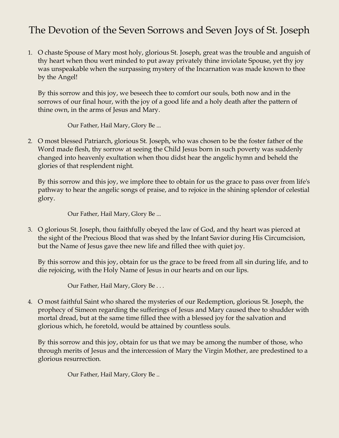## The Devotion of the Seven Sorrows and Seven Joys of St. Joseph

1. O chaste Spouse of Mary most holy, glorious St. Joseph, great was the trouble and anguish of thy heart when thou wert minded to put away privately thine inviolate Spouse, yet thy joy was unspeakable when the surpassing mystery of the Incarnation was made known to thee by the Angel!

By this sorrow and this joy, we beseech thee to comfort our souls, both now and in the sorrows of our final hour, with the joy of a good life and a holy death after the pattern of thine own, in the arms of Jesus and Mary.

Our Father, Hail Mary, Glory Be ...

2. O most blessed Patriarch, glorious St. Joseph, who was chosen to be the foster father of the Word made flesh, thy sorrow at seeing the Child Jesus born in such poverty was suddenly changed into heavenly exultation when thou didst hear the angelic hymn and beheld the glories of that resplendent night.

By this sorrow and this joy, we implore thee to obtain for us the grace to pass over from life's pathway to hear the angelic songs of praise, and to rejoice in the shining splendor of celestial glory.

Our Father, Hail Mary, Glory Be ...

3. O glorious St. Joseph, thou faithfully obeyed the law of God, and thy heart was pierced at the sight of the Precious Blood that was shed by the Infant Savior during His Circumcision, but the Name of Jesus gave thee new life and filled thee with quiet joy.

By this sorrow and this joy, obtain for us the grace to be freed from all sin during life, and to die rejoicing, with the Holy Name of Jesus in our hearts and on our lips.

Our Father, Hail Mary, Glory Be . . .

4. O most faithful Saint who shared the mysteries of our Redemption, glorious St. Joseph, the prophecy of Simeon regarding the sufferings of Jesus and Mary caused thee to shudder with mortal dread, but at the same time filled thee with a blessed joy for the salvation and glorious which, he foretold, would be attained by countless souls.

By this sorrow and this joy, obtain for us that we may be among the number of those, who through merits of Jesus and the intercession of Mary the Virgin Mother, are predestined to a glorious resurrection.

Our Father, Hail Mary, Glory Be ..